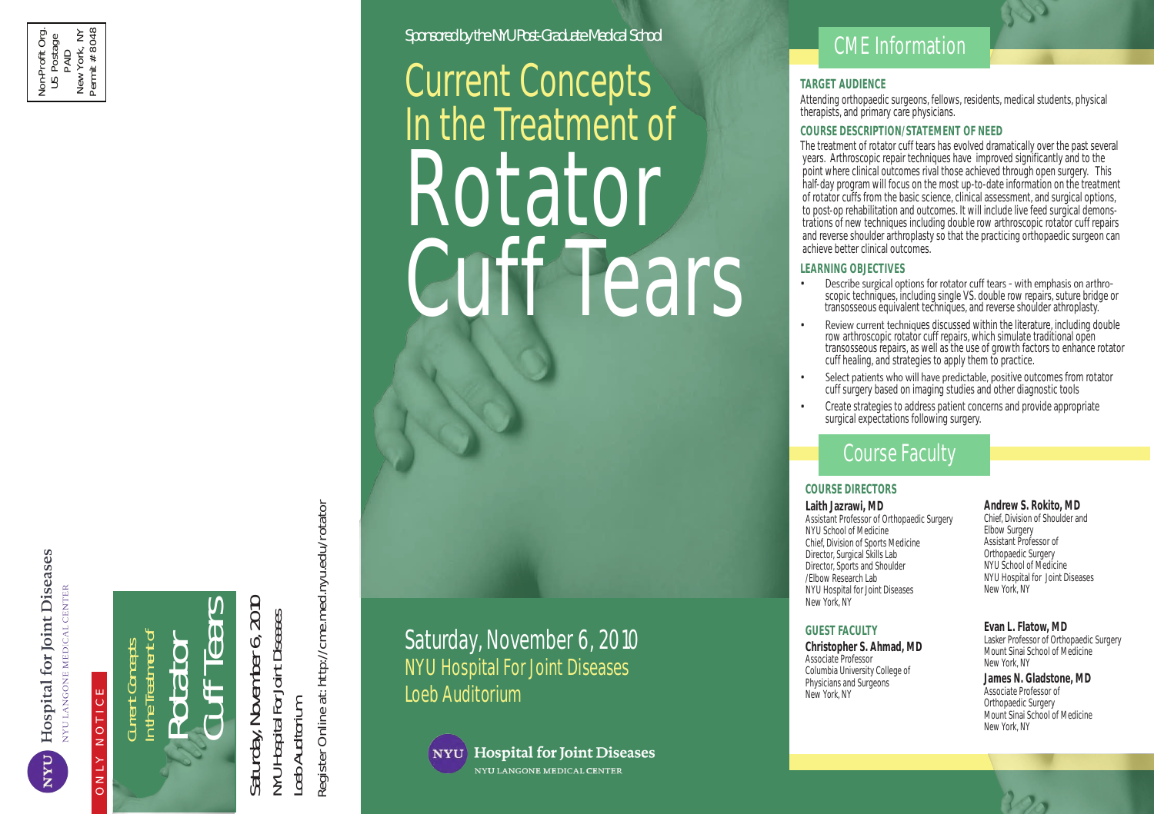

**UXN** 

# ONLY NOTICE

 $\mathbb{R}$  integrative Health For  $\mathbb{R}$  $\alpha \circ \Box \bullet \bullet \Box$  $155 \bigcap \Omega$  $\Box$   $\Box$   $\Box$   $\Box$  $-$  25  $-$ 2:30pm Plenary Session: Breast Cancer Screening - Moderator: Denise Grady; Linda Moy, MD and Deborah Axelrod, MD 3:30pm Plenary Session: Gender Based Medicine, Is it Necessary? -  $\Box$  a  $\bigcirc$   $\Box$ **HI 는 눈 \_<**  $\begin{bmatrix} 0 \\ 1 \end{bmatrix}$   $\begin{bmatrix} 1 \\ 2 \end{bmatrix}$   $\begin{bmatrix} 0 \\ -1 \end{bmatrix}$ Current Concepts In the Treatment of Rotator Cuff Tears

 Mary Jane Minkin, MD 11:10am Coffee Break

 Is it Medicine or Politics? - Moderator: Melinda Beck Steven R. Goldstein, MD, Jacques E. Rossouw, MD and  $11:30<sup>o</sup>$  - Women and Heart Disease - Moderator: Peggy Peggy Peggy Peggy Peggy Peggy Peggy Peggy Peggy Peggy Peggy Peggy Peggy Peggy Peggy Peggy Peggy Peggy Peggy Peggy Peggy Peggy Peggy Peggy Peggy Peggy Peggy Peggy Saturday, November 6, 2010<br>NYU Hospital For Joint Diseases Saturday, November 6, 2010 NYU Hospital For Joint Diseases Loeb Auditorium Register Online at: http://cme.med.nyu.edu/rotator

Program on Prevention and Population Sciences

hotels located near Skirball Center for the Performing Arts by visiting, Saturday, November 6, 2010 NYU Hospital For Joint Diseases Loeb Auditorium



**Hospital for Joint Diseases** NYU LANGONE MEDICAL CENTER

Skirball Center for the Performing Arts

 $\Delta$  lacatmont of

Applications will be accepted in order of their receipt. Visit our secure website http://cme.med.nyu.edu/women

Registration Office - NYU Post-Graduate Medical School P. O. Box 1855, Murray Hill Station, New York, NY 10016

Please Note: We cannot accept telephone registration.

New York University

Current Concepts

Sponsored by the NYU Post-Graduate Medical School

, IIU.CH

eral I

n<br>N<br>D

to the submit online registration.

Rotator

In the Treatment of

to provide continuing medical education for physicians.

with the extent of the extent of the activity.

Mailing Address and Contact Information

ONLINE REGISTRATION PREFERRED

Phone: 212-263-5295 Fax: 212-263-5295 Fax: 212-263-5295 Fax: 212-263-5293

Cuff Tears

Accreditation Statement - The NYU Post-Graduate Medical School is accredited by the Accreditation Council for Continuing Medical Education

Credit Designation Statement - The NYU Post-Graduate Medical School designates this educational activity for a maximum of 6 AMA PRA Category 1 Credits ™. Physicians should only claim commensurate the commensurate commensurate commensurate com

Disclosure Statement - The NYU Post-Graduate Medical School adheres to the ACCME Essential Areas and policies, including the Standards for Commercial Support, regarding industry support of continuing medical education. In order to resolve any identified Conflicts of Interest, disclosure

# CME Information

## **TARGET AUDIENCE**

GET<br>Iding TARGET AUDIENCE<br>Attending orthopaedic surgeons, fellows, residents, medical students, physic<br>therapists, and primary care physicians Al<br>Ntt<br>Co<br>Center therapists, and primary care physicians. Attending orthopaedic surgeons, fellows, residents, medical students, physical

## **COURSE DESCRIPTION/STATEMENT OF NEED**

pions<br>**RSE**<br>reatr<br>s Ar nt whe<br>f-day p<br>otator<br>post-oi ration Form the Performance Control<br>the Performance Control<br>**-**The treatment of rotator cuff tears has evolved dramatically over the past several years. Arthroscopic repair techniques have improved significantly and to the point where clinical outcomes rival those achieved through open surgery. This half-day program will focus on the most up-to-date information on the treatment to post-op rehabilitation and outcomes. It will include live feed surgical demonstrations of new techniques including double row arthroscopic rotator cuff repairs and reverse shoulder arthroplasty so that the practicing orthopaedic surgeon can achieve better clinical outcomes. of rotator cuffs from the basic science, clinical assessment, and surgical options,

#### **Course Conrmation:** Please supply your e-mail address to receive a confirmation letter. Written confirmation will not be mailed. Make sure **LEARNING OBJECTIVES**

- Describe surgical options for rotator cuff tears with emphasis on arthroechniques, inclue feous equivalent techniques, and reverse shoulder scopic techniques, including single VS. double row repairs, suture bridge or transosseous equivalent techniques, and reverse shoulder athroplasty.
- $R_{\text{reduced}}$  to chain 1000 discussed within the literature including double  $\frac{1}{2}$ Carlon Community alumnia alumni, formation  $\frac{1}{2}$  meading and fellows;  $\frac{1}{2}$ iroscopic rotator cui Tepairs, which simulate traditional open transosseous repairs, as well as the use of growth factors to enhance rotator cuff healing, and strategies to apply them to practice. • Review current techniques discussed within the literature, including double row arthroscopic rotator cuff repairs, which simulate traditional open
- Select patients who will have predictable, positive outcomes from rotator **Castle parties who will have predictably positive existence horizon**<br>Cuff surgery based on imaging studies and other diagnostic tools
- If faxing, do not mail or refax. This will only result in a duplicate charge to your account. **Check** strategies to address patient sensors **Credit Card Payment** (see below) • Create strategies to address patient concerns and provide appropriate<br>currical expectations following surgery

# **International Postal Money Order or course Faculty**

## **PAYMENT BY CREDIT CARD:** Credit card payments may be faxed to **(212) 263-5293**. **COURSE DIRECTORS**

## $Laith$  Jazrawi, MD

NYU School of Medicine **Elbow Surger** Chief, Division of Sports Medicine **Assistant Professor** of Director, Sports and Shoulder NYU School of Medicine Elbow Research Lab MYU Hospital for Joint Diseases NYU Hospital for Joint Diseases **Example 20 New York** New York, NY Assistant Professor of Orthopaedic Surgery Director, Surgical Skills Lab /Elbow Research Lab

**Christopher S. Ahmad, MD Course Cancellation Professor**<br> **Contained, the unit course is course in the unusual course is course in the unusual course is cancelled, the u** Columbia University College of **Example 10 Columbia University College** of **Example envelope on any aircraft or other conducts** incurred. The physicians and Surgeons To help fulfill your continuing education needs in the professor of the New York NY Associate Professor New York, NY

#### **Andrew S. Rokito, MD**

Chief, Division of Shoulder and Elbow Surgery Assistant Professor of Orthopaedic Surgery NYU School of Medicine New York, NY

Easter and e-mails are not accepted after a lasker Professor of Orthopaedic Surgery Mount Sinai School of Medicine

ormopacine Sargery<br>Mount Sinai School of Medicine New York, NY **James N. Gladstone, MD** Orthopaedic Surgery

**REFUND POLICY CHARGE OF STATIGHT CHARGE OF SOLUTY** EVAN L. Flatow, MD **GUEST FACULTY EVAN L. FIATOW, MID**